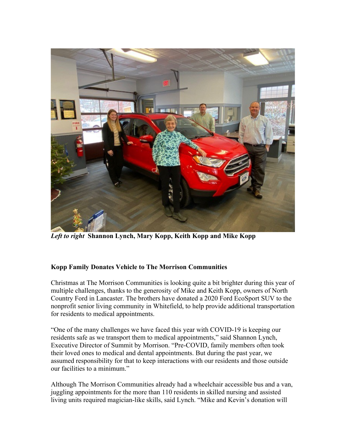

*Left to right* **Shannon Lynch, Mary Kopp, Keith Kopp and Mike Kopp**

## **Kopp Family Donates Vehicle to The Morrison Communities**

Christmas at The Morrison Communities is looking quite a bit brighter during this year of multiple challenges, thanks to the generosity of Mike and Keith Kopp, owners of North Country Ford in Lancaster. The brothers have donated a 2020 Ford EcoSport SUV to the nonprofit senior living community in Whitefield, to help provide additional transportation for residents to medical appointments.

"One of the many challenges we have faced this year with COVID-19 is keeping our residents safe as we transport them to medical appointments," said Shannon Lynch, Executive Director of Summit by Morrison. "Pre-COVID, family members often took their loved ones to medical and dental appointments. But during the past year, we assumed responsibility for that to keep interactions with our residents and those outside our facilities to a minimum."

Although The Morrison Communities already had a wheelchair accessible bus and a van, juggling appointments for the more than 110 residents in skilled nursing and assisted living units required magician-like skills, said Lynch. "Mike and Kevin's donation will